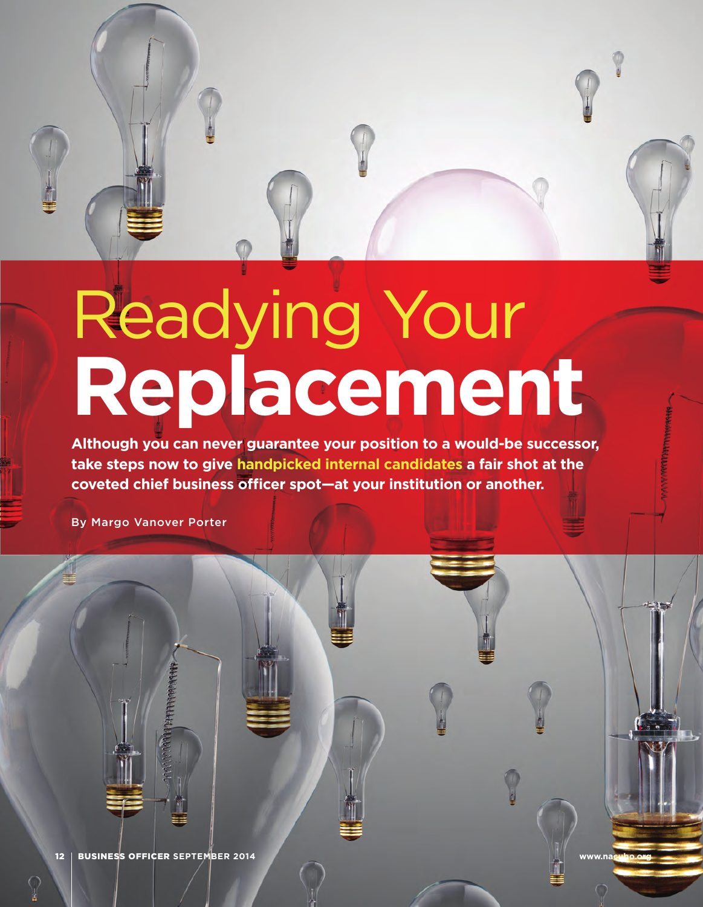

# Readying Your **Replacement**

**Although you can never guarantee your position to a would-be successor, take steps now to give handpicked internal candidates a fair shot at the**  coveted chief business officer spot-at your institution or another.

By Margo Vanover Porter

12 BUSINESS OFFICER SEPTEMBER 2014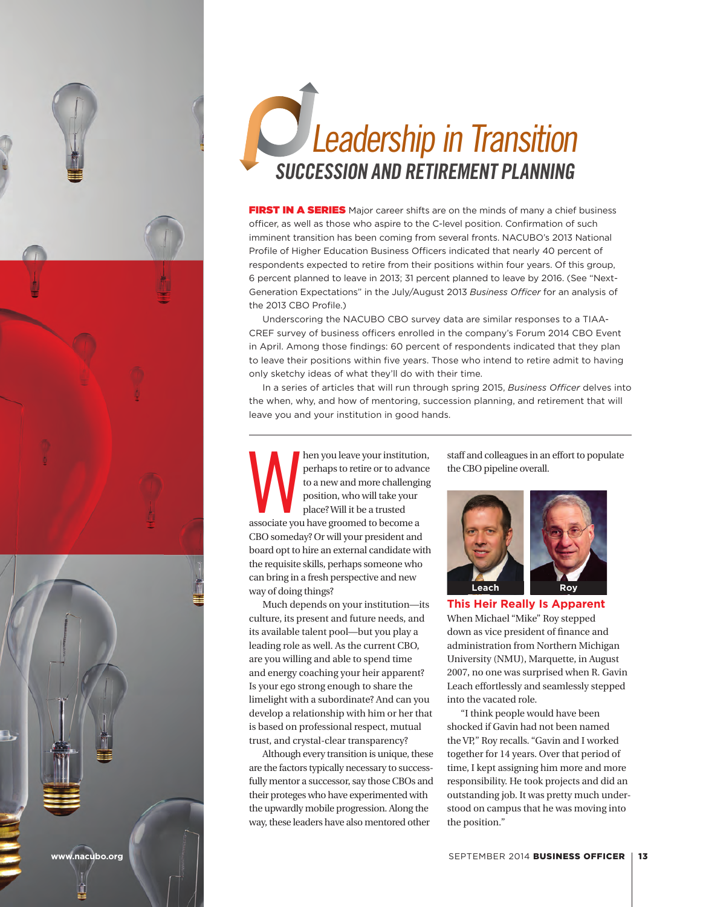

# Leadership in Transition **SUCCESSION AND RETIREMENT PLANNING**

FIRST IN A SERIES Major career shifts are on the minds of many a chief business officer, as well as those who aspire to the C-level position. Confirmation of such imminent transition has been coming from several fronts. NACUBO's 2013 National Profile of Higher Education Business Officers indicated that nearly 40 percent of respondents expected to retire from their positions within four years. Of this group, 6 percent planned to leave in 2013; 31 percent planned to leave by 2016. (See "Next-Generation Expectations" in the July/August 2013 *Business Officer* for an analysis of the 2013 CBO Profile.)

Underscoring the NACUBO CBO survey data are similar responses to a TIAA-CREF survey of business officers enrolled in the company's Forum 2014 CBO Event in April. Among those findings: 60 percent of respondents indicated that they plan to leave their positions within five years. Those who intend to retire admit to having only sketchy ideas of what they'll do with their time.

In a series of articles that will run through spring 2015, *Business Officer* delves into the when, why, and how of mentoring, succession planning, and retirement that will leave you and your institution in good hands.

then you leave your institution,<br>
perhaps to retire or to advance<br>
to a new and more challenging<br>
position, who will take your<br>
place? Will it be a trusted<br>
associate you have groomed to become a perhaps to retire or to advance to a new and more challenging position, who will take your place? Will it be a trusted CBO someday? Or will your president and board opt to hire an external candidate with the requisite skills, perhaps someone who can bring in a fresh perspective and new way of doing things?

Much depends on your institution—its culture, its present and future needs, and its available talent pool—but you play a leading role as well. As the current CBO, are you willing and able to spend time and energy coaching your heir apparent? Is your ego strong enough to share the limelight with a subordinate? And can you develop a relationship with him or her that is based on professional respect, mutual trust, and crystal-clear transparency?

Although every transition is unique, these are the factors typically necessary to successfully mentor a successor, say those CBOs and their proteges who have experimented with the upwardly mobile progression. Along the way, these leaders have also mentored other

staff and colleagues in an effort to populate the CBO pipeline overall.



**This Heir Really Is Apparent** When Michael "Mike" Roy stepped down as vice president of finance and administration from Northern Michigan University (NMU), Marquette, in August 2007, no one was surprised when R. Gavin Leach effortlessly and seamlessly stepped into the vacated role.

"I think people would have been shocked if Gavin had not been named the VP," Roy recalls. "Gavin and I worked together for 14 years. Over that period of time, I kept assigning him more and more responsibility. He took projects and did an outstanding job. It was pretty much understood on campus that he was moving into the position."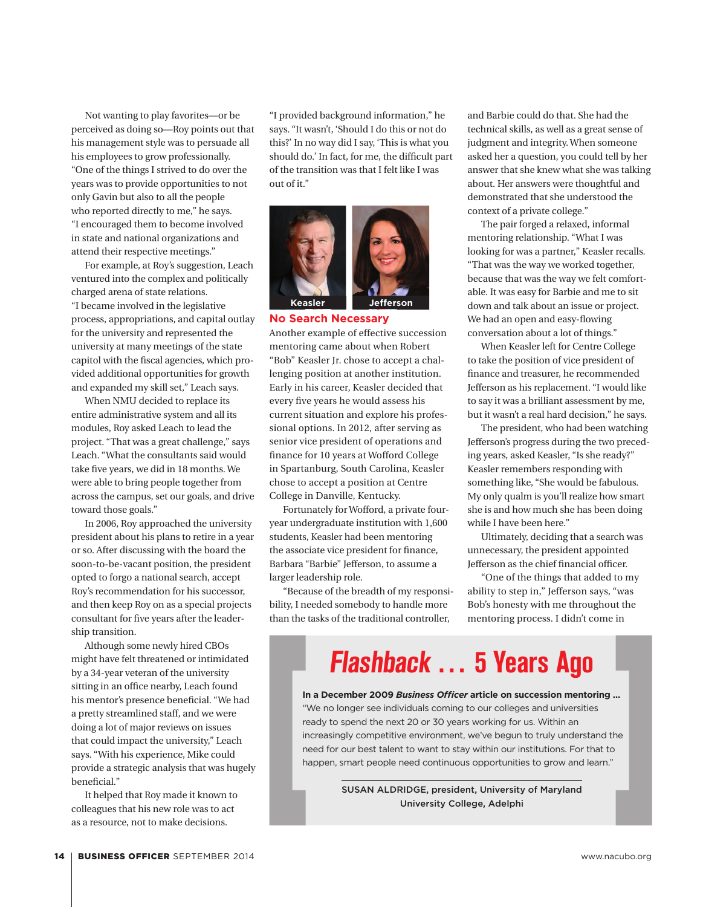Not wanting to play favorites—or be perceived as doing so—Roy points out that his management style was to persuade all his employees to grow professionally. "One of the things I strived to do over the years was to provide opportunities to not only Gavin but also to all the people who reported directly to me," he says. "I encouraged them to become involved in state and national organizations and attend their respective meetings."

For example, at Roy's suggestion, Leach ventured into the complex and politically charged arena of state relations. "I became involved in the legislative process, appropriations, and capital outlay for the university and represented the university at many meetings of the state capitol with the fiscal agencies, which provided additional opportunities for growth and expanded my skill set," Leach says.

When NMU decided to replace its entire administrative system and all its modules, Roy asked Leach to lead the project. "That was a great challenge," says Leach. "What the consultants said would take five years, we did in 18 months. We were able to bring people together from across the campus, set our goals, and drive toward those goals."

In 2006, Roy approached the university president about his plans to retire in a year or so. After discussing with the board the soon-to-be-vacant position, the president opted to forgo a national search, accept Roy's recommendation for his successor, and then keep Roy on as a special projects consultant for five years after the leadership transition.

Although some newly hired CBOs might have felt threatened or intimidated by a 34-year veteran of the university sitting in an office nearby, Leach found his mentor's presence beneficial. "We had a pretty streamlined staff, and we were doing a lot of major reviews on issues that could impact the university," Leach says. "With his experience, Mike could provide a strategic analysis that was hugely beneficial."

It helped that Roy made it known to colleagues that his new role was to act as a resource, not to make decisions.

"I provided background information," he says. "It wasn't, 'Should I do this or not do this?' In no way did I say, 'This is what you should do.' In fact, for me, the difficult part of the transition was that I felt like I was out of it."



**No Search Necessary**

Another example of effective succession mentoring came about when Robert "Bob" Keasler Jr. chose to accept a challenging position at another institution. Early in his career, Keasler decided that every five years he would assess his current situation and explore his professional options. In 2012, after serving as senior vice president of operations and finance for 10 years at Wofford College in Spartanburg, South Carolina, Keasler chose to accept a position at Centre College in Danville, Kentucky.

Fortunately for Wofford, a private fouryear undergraduate institution with 1,600 students, Keasler had been mentoring the associate vice president for finance, Barbara "Barbie" Jefferson, to assume a larger leadership role.

"Because of the breadth of my responsibility, I needed somebody to handle more than the tasks of the traditional controller,

and Barbie could do that. She had the technical skills, as well as a great sense of judgment and integrity. When someone asked her a question, you could tell by her answer that she knew what she was talking about. Her answers were thoughtful and demonstrated that she understood the context of a private college."

The pair forged a relaxed, informal mentoring relationship. "What I was looking for was a partner," Keasler recalls. "That was the way we worked together, because that was the way we felt comfortable. It was easy for Barbie and me to sit down and talk about an issue or project. We had an open and easy-flowing conversation about a lot of things."

When Keasler left for Centre College to take the position of vice president of finance and treasurer, he recommended Jefferson as his replacement. "I would like to say it was a brilliant assessment by me, but it wasn't a real hard decision," he says.

The president, who had been watching Jefferson's progress during the two preceding years, asked Keasler, "Is she ready?" Keasler remembers responding with something like, "She would be fabulous. My only qualm is you'll realize how smart she is and how much she has been doing while I have been here."

Ultimately, deciding that a search was unnecessary, the president appointed Jefferson as the chief financial officer.

"One of the things that added to my ability to step in," Jefferson says, "was Bob's honesty with me throughout the mentoring process. I didn't come in

**Flashback … 5 Years Ago**

**In a December 2009** *Business Officer* **article on succession mentoring …** "We no longer see individuals coming to our colleges and universities ready to spend the next 20 or 30 years working for us. Within an increasingly competitive environment, we've begun to truly understand the need for our best talent to want to stay within our institutions. For that to happen, smart people need continuous opportunities to grow and learn."

> SUSAN ALDRIDGE, president, University of Maryland University College, Adelphi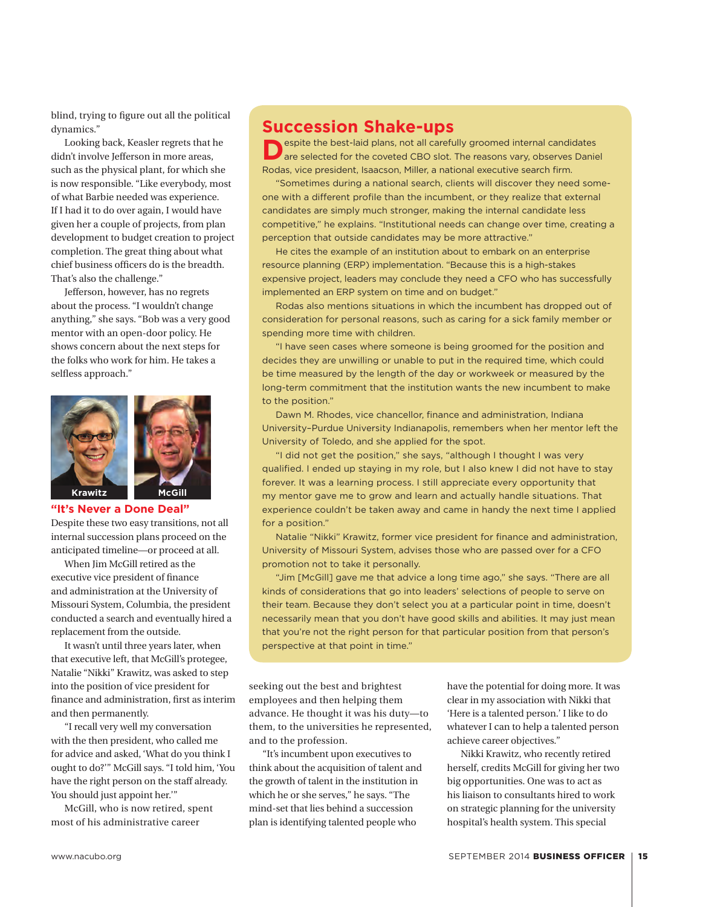blind, trying to figure out all the political dynamics."

Looking back, Keasler regrets that he didn't involve Jefferson in more areas, such as the physical plant, for which she is now responsible. "Like everybody, most of what Barbie needed was experience. If I had it to do over again, I would have given her a couple of projects, from plan development to budget creation to project completion. The great thing about what chief business officers do is the breadth. That's also the challenge."

Jefferson, however, has no regrets about the process. "I wouldn't change anything," she says. "Bob was a very good mentor with an open-door policy. He shows concern about the next steps for the folks who work for him. He takes a selfless approach."



#### **"It's Never a Done Deal"**

Despite these two easy transitions, not all internal succession plans proceed on the anticipated timeline—or proceed at all.

When Jim McGill retired as the executive vice president of finance and administration at the University of Missouri System, Columbia, the president conducted a search and eventually hired a replacement from the outside.

It wasn't until three years later, when that executive left, that McGill's protegee, Natalie "Nikki" Krawitz, was asked to step into the position of vice president for finance and administration, first as interim and then permanently.

"I recall very well my conversation with the then president, who called me for advice and asked, 'What do you think I ought to do?'" McGill says. "I told him, 'You have the right person on the staff already. You should just appoint her.'"

McGill, who is now retired, spent most of his administrative career

## **Succession Shake-ups**<br> **Respite the best-laid plans, not all carefully groomed internal candidates**

**Despite the best-laid plans, not all carefully groomed internal candidates are selected for the coveted CBO slot. The reasons vary, observes Daniel** Rodas, vice president, Isaacson, Miller, a national executive search firm.

"Sometimes during a national search, clients will discover they need someone with a different profile than the incumbent, or they realize that external candidates are simply much stronger, making the internal candidate less competitive," he explains. "Institutional needs can change over time, creating a perception that outside candidates may be more attractive."

He cites the example of an institution about to embark on an enterprise resource planning (ERP) implementation. "Because this is a high-stakes expensive project, leaders may conclude they need a CFO who has successfully implemented an ERP system on time and on budget."

Rodas also mentions situations in which the incumbent has dropped out of consideration for personal reasons, such as caring for a sick family member or spending more time with children.

"I have seen cases where someone is being groomed for the position and decides they are unwilling or unable to put in the required time, which could be time measured by the length of the day or workweek or measured by the long-term commitment that the institution wants the new incumbent to make to the position."

Dawn M. Rhodes, vice chancellor, finance and administration, Indiana University–Purdue University Indianapolis, remembers when her mentor left the University of Toledo, and she applied for the spot.

"I did not get the position," she says, "although I thought I was very qualified. I ended up staying in my role, but I also knew I did not have to stay forever. It was a learning process. I still appreciate every opportunity that my mentor gave me to grow and learn and actually handle situations. That experience couldn't be taken away and came in handy the next time I applied for a position."

Natalie "Nikki" Krawitz, former vice president for finance and administration, University of Missouri System, advises those who are passed over for a CFO promotion not to take it personally.

"Jim [McGill] gave me that advice a long time ago," she says. "There are all kinds of considerations that go into leaders' selections of people to serve on their team. Because they don't select you at a particular point in time, doesn't necessarily mean that you don't have good skills and abilities. It may just mean that you're not the right person for that particular position from that person's perspective at that point in time."

seeking out the best and brightest employees and then helping them advance. He thought it was his duty—to them, to the universities he represented, and to the profession.

"It's incumbent upon executives to think about the acquisition of talent and the growth of talent in the institution in which he or she serves," he says. "The mind-set that lies behind a succession plan is identifying talented people who

have the potential for doing more. It was clear in my association with Nikki that 'Here is a talented person.' I like to do whatever I can to help a talented person achieve career objectives."

Nikki Krawitz, who recently retired herself, credits McGill for giving her two big opportunities. One was to act as his liaison to consultants hired to work on strategic planning for the university hospital's health system. This special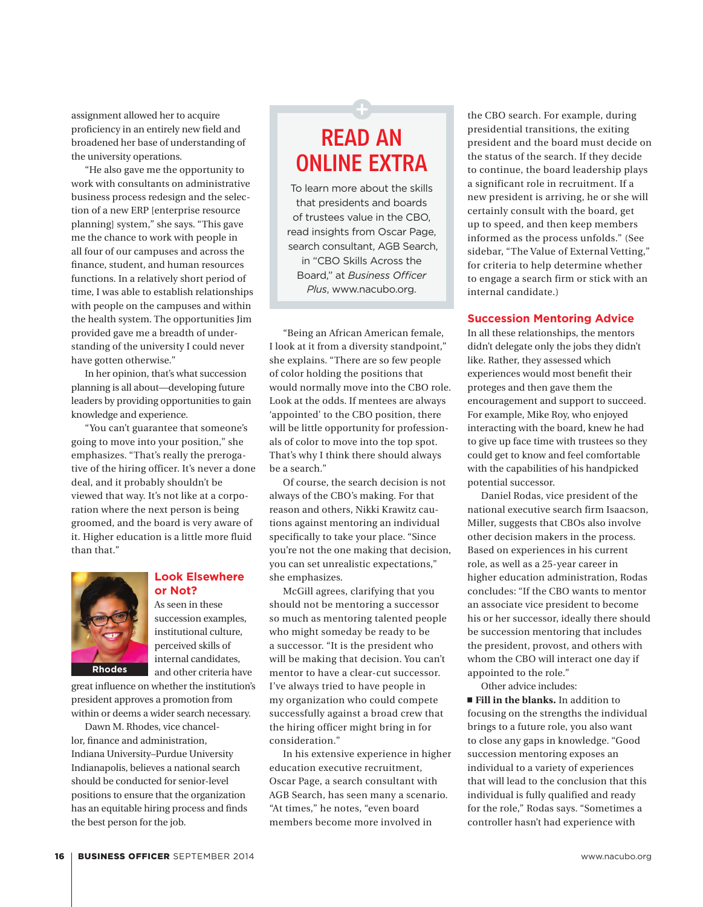assignment allowed her to acquire proficiency in an entirely new field and broadened her base of understanding of the university operations.

"He also gave me the opportunity to work with consultants on administrative business process redesign and the selection of a new ERP [enterprise resource planning] system," she says. "This gave me the chance to work with people in all four of our campuses and across the finance, student, and human resources functions. In a relatively short period of time, I was able to establish relationships with people on the campuses and within the health system. The opportunities Jim provided gave me a breadth of understanding of the university I could never have gotten otherwise."

In her opinion, that's what succession planning is all about—developing future leaders by providing opportunities to gain knowledge and experience.

"You can't guarantee that someone's going to move into your position," she emphasizes. "That's really the prerogative of the hiring officer. It's never a done deal, and it probably shouldn't be viewed that way. It's not like at a corporation where the next person is being groomed, and the board is very aware of it. Higher education is a little more fluid than that."



#### **Look Elsewhere or Not?**

As seen in these succession examples, institutional culture, perceived skills of internal candidates, and other criteria have

great influence on whether the institution's president approves a promotion from within or deems a wider search necessary.

Dawn M. Rhodes, vice chancellor, finance and administration, Indiana University–Purdue University Indianapolis, believes a national search should be conducted for senior-level positions to ensure that the organization has an equitable hiring process and finds the best person for the job.

### READ AN ONLINE EXTRA

To learn more about the skills that presidents and boards of trustees value in the CBO, read insights from Oscar Page, search consultant, AGB Search, in "CBO Skills Across the Board," at *Business Officer Plus*, www.nacubo.org.

"Being an African American female, I look at it from a diversity standpoint," she explains. "There are so few people of color holding the positions that would normally move into the CBO role. Look at the odds. If mentees are always 'appointed' to the CBO position, there will be little opportunity for professionals of color to move into the top spot. That's why I think there should always be a search."

Of course, the search decision is not always of the CBO's making. For that reason and others, Nikki Krawitz cautions against mentoring an individual specifically to take your place. "Since you're not the one making that decision, you can set unrealistic expectations," she emphasizes.

McGill agrees, clarifying that you should not be mentoring a successor so much as mentoring talented people who might someday be ready to be a successor. "It is the president who will be making that decision. You can't mentor to have a clear-cut successor. I've always tried to have people in my organization who could compete successfully against a broad crew that the hiring officer might bring in for consideration."

In his extensive experience in higher education executive recruitment, Oscar Page, a search consultant with AGB Search, has seen many a scenario. "At times," he notes, "even board members become more involved in

the CBO search. For example, during presidential transitions, the exiting president and the board must decide on the status of the search. If they decide to continue, the board leadership plays a significant role in recruitment. If a new president is arriving, he or she will certainly consult with the board, get up to speed, and then keep members informed as the process unfolds." (See sidebar, "The Value of External Vetting," for criteria to help determine whether to engage a search firm or stick with an internal candidate.)

#### **Succession Mentoring Advice**

In all these relationships, the mentors didn't delegate only the jobs they didn't like. Rather, they assessed which experiences would most benefit their proteges and then gave them the encouragement and support to succeed. For example, Mike Roy, who enjoyed interacting with the board, knew he had to give up face time with trustees so they could get to know and feel comfortable with the capabilities of his handpicked potential successor.

Daniel Rodas, vice president of the national executive search firm Isaacson, Miller, suggests that CBOs also involve other decision makers in the process. Based on experiences in his current role, as well as a 25-year career in higher education administration, Rodas concludes: "If the CBO wants to mentor an associate vice president to become his or her successor, ideally there should be succession mentoring that includes the president, provost, and others with whom the CBO will interact one day if appointed to the role."

Other advice includes:

**Fill in the blanks.** In addition to focusing on the strengths the individual brings to a future role, you also want to close any gaps in knowledge. "Good succession mentoring exposes an individual to a variety of experiences that will lead to the conclusion that this individual is fully qualified and ready for the role," Rodas says. "Sometimes a controller hasn't had experience with